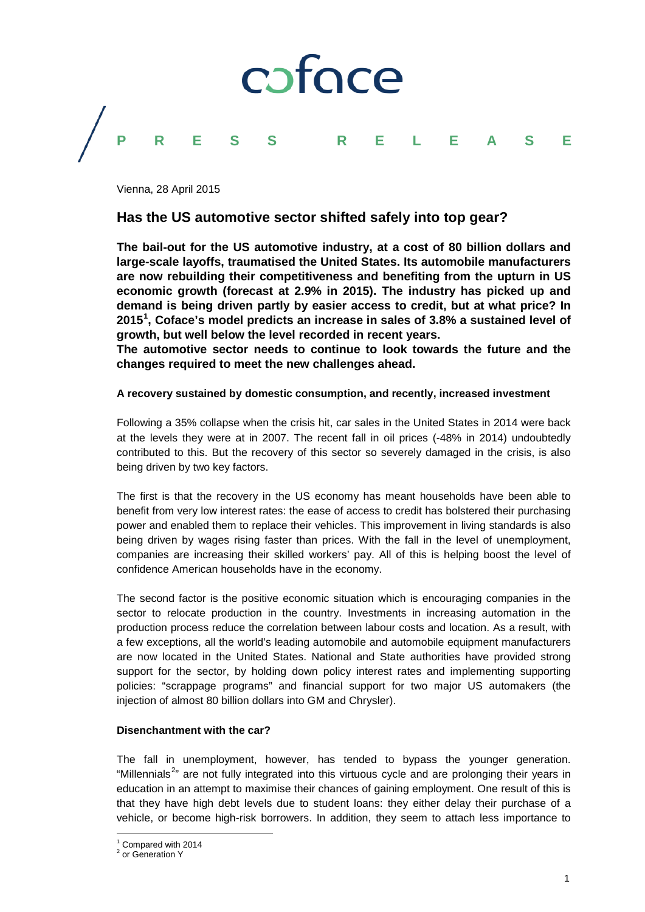

Vienna, 28 April 2015

# **Has the US automotive sector shifted safely into top gear?**

**The bail-out for the US automotive industry, at a cost of 80 billion dollars and large-scale layoffs, traumatised the United States. Its automobile manufacturers are now rebuilding their competitiveness and benefiting from the upturn in US economic growth (forecast at 2.9% in 2015). The industry has picked up and demand is being driven partly by easier access to credit, but at what price? In 2015[1](#page-0-0) , Coface's model predicts an increase in sales of 3.8% a sustained level of growth, but well below the level recorded in recent years.**

**The automotive sector needs to continue to look towards the future and the changes required to meet the new challenges ahead.** 

# **A recovery sustained by domestic consumption, and recently, increased investment**

Following a 35% collapse when the crisis hit, car sales in the United States in 2014 were back at the levels they were at in 2007. The recent fall in oil prices (-48% in 2014) undoubtedly contributed to this. But the recovery of this sector so severely damaged in the crisis, is also being driven by two key factors.

The first is that the recovery in the US economy has meant households have been able to benefit from very low interest rates: the ease of access to credit has bolstered their purchasing power and enabled them to replace their vehicles. This improvement in living standards is also being driven by wages rising faster than prices. With the fall in the level of unemployment, companies are increasing their skilled workers' pay. All of this is helping boost the level of confidence American households have in the economy.

The second factor is the positive economic situation which is encouraging companies in the sector to relocate production in the country. Investments in increasing automation in the production process reduce the correlation between labour costs and location. As a result, with a few exceptions, all the world's leading automobile and automobile equipment manufacturers are now located in the United States. National and State authorities have provided strong support for the sector, by holding down policy interest rates and implementing supporting policies: "scrappage programs" and financial support for two major US automakers (the injection of almost 80 billion dollars into GM and Chrysler).

### **Disenchantment with the car?**

The fall in unemployment, however, has tended to bypass the younger generation. "Millennials<sup>[2](#page-0-1)</sup>" are not fully integrated into this virtuous cycle and are prolonging their years in education in an attempt to maximise their chances of gaining employment. One result of this is that they have high debt levels due to student loans: they either delay their purchase of a vehicle, or become high-risk borrowers. In addition, they seem to attach less importance to

 $\frac{1}{1}$  Compared with 2014

<span id="page-0-1"></span><span id="page-0-0"></span><sup>&</sup>lt;sup>2</sup> or Generation Y